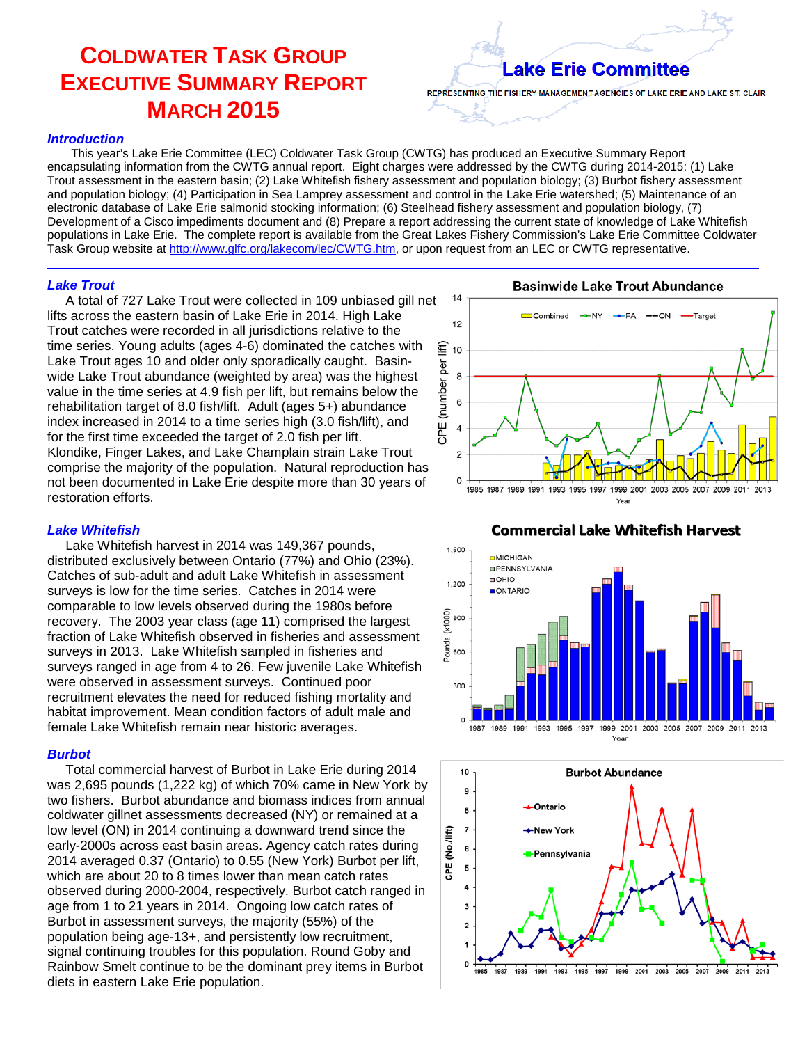# **COLDWATER TASK GROUP EXECUTIVE SUMMARY REPORT MARCH 2015**

## ake Erie Committee

REPRESENTING THE FISHERY MANAGEMENT AGENCIES OF LAKE ERIE AND LAKE ST. CLAIR

#### *Introduction*

This year's Lake Erie Committee (LEC) Coldwater Task Group (CWTG) has produced an Executive Summary Report encapsulating information from the CWTG annual report. Eight charges were addressed by the CWTG during 2014-2015: (1) Lake Trout assessment in the eastern basin; (2) Lake Whitefish fishery assessment and population biology; (3) Burbot fishery assessment and population biology; (4) Participation in Sea Lamprey assessment and control in the Lake Erie watershed; (5) Maintenance of an electronic database of Lake Erie salmonid stocking information; (6) Steelhead fishery assessment and population biology, (7) Development of a Cisco impediments document and (8) Prepare a report addressing the current state of knowledge of Lake Whitefish populations in Lake Erie. The complete report is available from the Great Lakes Fishery Commission's Lake Erie Committee Coldwater Task Group website at http://www.glfc.org/lakecom/lec/CWTG.htm, or upon request from an LEC or CWTG representative.

#### *Lake Trout*

 A total of 727 Lake Trout were collected in 109 unbiased gill net lifts across the eastern basin of Lake Erie in 2014. High Lake Trout catches were recorded in all jurisdictions relative to the time series. Young adults (ages 4-6) dominated the catches with Lake Trout ages 10 and older only sporadically caught. Basinwide Lake Trout abundance (weighted by area) was the highest value in the time series at 4.9 fish per lift, but remains below the rehabilitation target of 8.0 fish/lift. Adult (ages 5+) abundance index increased in 2014 to a time series high (3.0 fish/lift), and for the first time exceeded the target of 2.0 fish per lift. Klondike, Finger Lakes, and Lake Champlain strain Lake Trout comprise the majority of the population. Natural reproduction has not been documented in Lake Erie despite more than 30 years of restoration efforts.

### *Lake Whitefish*

 Lake Whitefish harvest in 2014 was 149,367 pounds, distributed exclusively between Ontario (77%) and Ohio (23%). Catches of sub-adult and adult Lake Whitefish in assessment surveys is low for the time series. Catches in 2014 were comparable to low levels observed during the 1980s before recovery. The 2003 year class (age 11) comprised the largest fraction of Lake Whitefish observed in fisheries and assessment surveys in 2013. Lake Whitefish sampled in fisheries and surveys ranged in age from 4 to 26. Few juvenile Lake Whitefish were observed in assessment surveys. Continued poor recruitment elevates the need for reduced fishing mortality and habitat improvement. Mean condition factors of adult male and female Lake Whitefish remain near historic averages.

#### *Burbot*

 Total commercial harvest of Burbot in Lake Erie during 2014 was 2,695 pounds (1,222 kg) of which 70% came in New York by two fishers. Burbot abundance and biomass indices from annual coldwater gillnet assessments decreased (NY) or remained at a low level (ON) in 2014 continuing a downward trend since the early-2000s across east basin areas. Agency catch rates during 2014 averaged 0.37 (Ontario) to 0.55 (New York) Burbot per lift, which are about 20 to 8 times lower than mean catch rates observed during 2000-2004, respectively. Burbot catch ranged in age from 1 to 21 years in 2014. Ongoing low catch rates of Burbot in assessment surveys, the majority (55%) of the population being age-13+, and persistently low recruitment, signal continuing troubles for this population. Round Goby and Rainbow Smelt continue to be the dominant prey items in Burbot diets in eastern Lake Erie population.





Yea

# **Commercial Lake Whitefish Harvest**